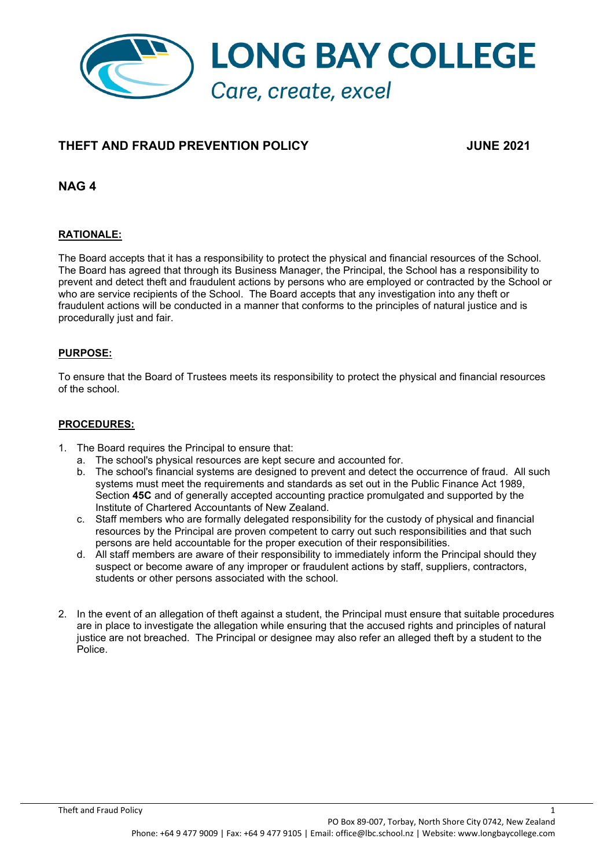

# **THEFT AND FRAUD PREVENTION POLICY JUNE 2021**

**NAG 4** 

# **RATIONALE:**

The Board accepts that it has a responsibility to protect the physical and financial resources of the School. The Board has agreed that through its Business Manager, the Principal, the School has a responsibility to prevent and detect theft and fraudulent actions by persons who are employed or contracted by the School or who are service recipients of the School. The Board accepts that any investigation into any theft or fraudulent actions will be conducted in a manner that conforms to the principles of natural justice and is procedurally just and fair.

# **PURPOSE:**

To ensure that the Board of Trustees meets its responsibility to protect the physical and financial resources of the school.

## **PROCEDURES:**

- 1. The Board requires the Principal to ensure that:
	- a. The school's physical resources are kept secure and accounted for.
	- b. The school's financial systems are designed to prevent and detect the occurrence of fraud. All such systems must meet the requirements and standards as set out in the Public Finance Act 1989, Section **45C** and of generally accepted accounting practice promulgated and supported by the Institute of Chartered Accountants of New Zealand.
	- c. Staff members who are formally delegated responsibility for the custody of physical and financial resources by the Principal are proven competent to carry out such responsibilities and that such persons are held accountable for the proper execution of their responsibilities.
	- d. All staff members are aware of their responsibility to immediately inform the Principal should they suspect or become aware of any improper or fraudulent actions by staff, suppliers, contractors, students or other persons associated with the school.
- 2. In the event of an allegation of theft against a student, the Principal must ensure that suitable procedures are in place to investigate the allegation while ensuring that the accused rights and principles of natural justice are not breached. The Principal or designee may also refer an alleged theft by a student to the Police.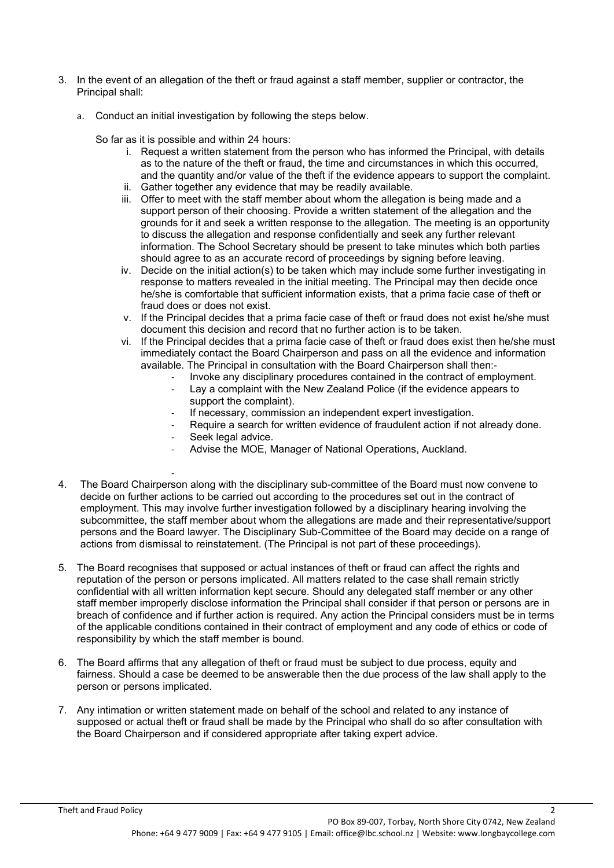- 3. In the event of an allegation of the theft or fraud against a staff member, supplier or contractor, the Principal shall:
	- a. Conduct an initial investigation by following the steps below.

So far as it is possible and within 24 hours:

- i. Request a written statement from the person who has informed the Principal, with details as to the nature of the theft or fraud, the time and circumstances in which this occurred, and the quantity and/or value of the theft if the evidence appears to support the complaint.
- ii. Gather together any evidence that may be readily available.
- iii. Offer to meet with the staff member about whom the allegation is being made and a support person of their choosing. Provide a written statement of the allegation and the grounds for it and seek a written response to the allegation. The meeting is an opportunity to discuss the allegation and response confidentially and seek any further relevant information. The School Secretary should be present to take minutes which both parties should agree to as an accurate record of proceedings by signing before leaving.
- iv. Decide on the initial action(s) to be taken which may include some further investigating in response to matters revealed in the initial meeting. The Principal may then decide once he/she is comfortable that sufficient information exists, that a prima facie case of theft or fraud does or does not exist.
- v. If the Principal decides that a prima facie case of theft or fraud does not exist he/she must document this decision and record that no further action is to be taken.
- vi. If the Principal decides that a prima facie case of theft or fraud does exist then he/she must immediately contact the Board Chairperson and pass on all the evidence and information available. The Principal in consultation with the Board Chairperson shall then:-
	- Invoke any disciplinary procedures contained in the contract of employment.
	- Lay a complaint with the New Zealand Police (if the evidence appears to support the complaint).
	- If necessary, commission an independent expert investigation.
	- Require a search for written evidence of fraudulent action if not already done.
	- Seek legal advice.

-

- Advise the MOE, Manager of National Operations, Auckland.
- 4. The Board Chairperson along with the disciplinary sub-committee of the Board must now convene to decide on further actions to be carried out according to the procedures set out in the contract of employment. This may involve further investigation followed by a disciplinary hearing involving the subcommittee, the staff member about whom the allegations are made and their representative/support persons and the Board lawyer. The Disciplinary Sub-Committee of the Board may decide on a range of actions from dismissal to reinstatement. (The Principal is not part of these proceedings).
- 5. The Board recognises that supposed or actual instances of theft or fraud can affect the rights and reputation of the person or persons implicated. All matters related to the case shall remain strictly confidential with all written information kept secure. Should any delegated staff member or any other staff member improperly disclose information the Principal shall consider if that person or persons are in breach of confidence and if further action is required. Any action the Principal considers must be in terms of the applicable conditions contained in their contract of employment and any code of ethics or code of responsibility by which the staff member is bound.
- 6. The Board affirms that any allegation of theft or fraud must be subject to due process, equity and fairness. Should a case be deemed to be answerable then the due process of the law shall apply to the person or persons implicated.
- 7. Any intimation or written statement made on behalf of the school and related to any instance of supposed or actual theft or fraud shall be made by the Principal who shall do so after consultation with the Board Chairperson and if considered appropriate after taking expert advice.